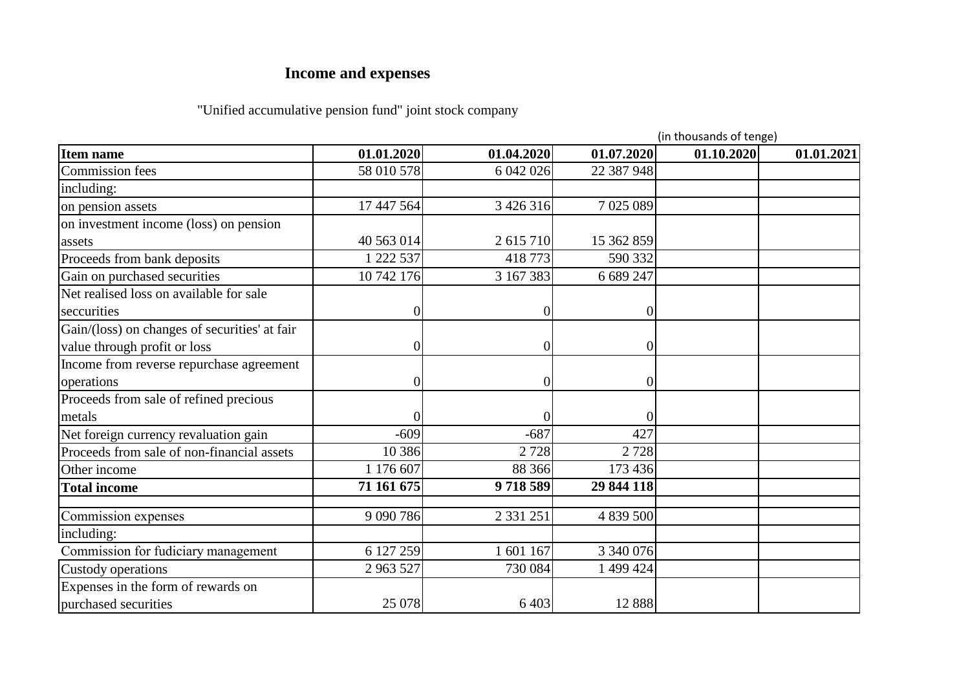## **Income and expenses**

## "Unified accumulative pension fund" joint stock company

|                                               | (in thousands of tenge) |                |                |            |            |  |
|-----------------------------------------------|-------------------------|----------------|----------------|------------|------------|--|
| <b>Item name</b>                              | 01.01.2020              | 01.04.2020     | 01.07.2020     | 01.10.2020 | 01.01.2021 |  |
| <b>Commission</b> fees                        | 58 010 578              | 6 042 026      | 22 387 948     |            |            |  |
| including:                                    |                         |                |                |            |            |  |
| on pension assets                             | 17 447 564              | 3 4 2 6 3 1 6  | 7 025 089      |            |            |  |
| on investment income (loss) on pension        |                         |                |                |            |            |  |
| assets                                        | 40 563 014              | 2 615 710      | 15 362 859     |            |            |  |
| Proceeds from bank deposits                   | 1 222 537               | 418773         | 590 332        |            |            |  |
| Gain on purchased securities                  | 10 742 176              | 3 167 383      | 6 689 247      |            |            |  |
| Net realised loss on available for sale       |                         |                |                |            |            |  |
| seccurities                                   |                         | 0              | 0              |            |            |  |
| Gain/(loss) on changes of securities' at fair |                         |                |                |            |            |  |
| value through profit or loss                  |                         | $\overline{0}$ | $\overline{0}$ |            |            |  |
| Income from reverse repurchase agreement      |                         |                |                |            |            |  |
| operations                                    |                         | $\overline{0}$ | $\overline{0}$ |            |            |  |
| Proceeds from sale of refined precious        |                         |                |                |            |            |  |
| metals                                        |                         |                | $\overline{0}$ |            |            |  |
| Net foreign currency revaluation gain         | $-609$                  | $-687$         | 427            |            |            |  |
| Proceeds from sale of non-financial assets    | 10 386                  | 2728           | 2728           |            |            |  |
| Other income                                  | 1 176 607               | 88 366         | 173 436        |            |            |  |
| <b>Total income</b>                           | 71 161 675              | 9718589        | 29 844 118     |            |            |  |
| Commission expenses                           | 9 090 786               | 2 3 3 1 2 5 1  | 4 839 500      |            |            |  |
| including:                                    |                         |                |                |            |            |  |
| Commission for fudiciary management           | 6 127 259               | 1 601 167      | 3 340 076      |            |            |  |
| Custody operations                            | 2 963 527               | 730 084        | 1 499 424      |            |            |  |
| Expenses in the form of rewards on            |                         |                |                |            |            |  |
| purchased securities                          | 25 078                  | 6 4 0 3        | 12 8 8 8       |            |            |  |